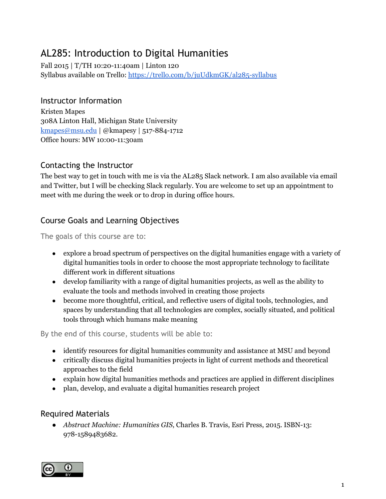# AL285: Introduction to Digital Humanities

Fall 2015 | T/TH 10:20-11:40am | Linton 120 Syllabus available on Trello: <https://trello.com/b/juUdkmGK/al285-syllabus>

## Instructor Information

Kristen Mapes 308A Linton Hall, Michigan State University [kmapes@msu.edu](mailto:kmapes@msu.edu) | @kmapesy | 517-884-1712 Office hours: MW 10:00-11:30am

## Contacting the Instructor

The best way to get in touch with me is via the AL285 Slack network. I am also available via email and Twitter, but I will be checking Slack regularly. You are welcome to set up an appointment to meet with me during the week or to drop in during office hours.

## Course Goals and Learning Objectives

The goals of this course are to:

- explore a broad spectrum of perspectives on the digital humanities engage with a variety of digital humanities tools in order to choose the most appropriate technology to facilitate different work in different situations
- develop familiarity with a range of digital humanities projects, as well as the ability to evaluate the tools and methods involved in creating those projects
- become more thoughtful, critical, and reflective users of digital tools, technologies, and spaces by understanding that all technologies are complex, socially situated, and political tools through which humans make meaning

By the end of this course, students will be able to:

- identify resources for digital humanities community and assistance at MSU and beyond
- critically discuss digital humanities projects in light of current methods and theoretical approaches to the field
- explain how digital humanities methods and practices are applied in different disciplines
- plan, develop, and evaluate a digital humanities research project

## Required Materials

*● Abstract Machine: Humanities GIS*, Charles B. Travis, Esri Press, 2015. ISBN-13: 978-1589483682.

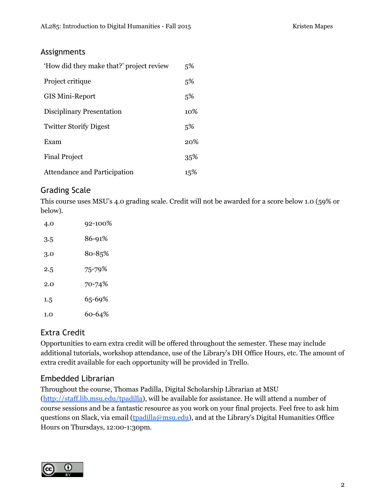## Assignments

| 'How did they make that?' project review | 5%     |
|------------------------------------------|--------|
| Project critique                         | 5%     |
| <b>GIS Mini-Report</b>                   | 5%     |
| Disciplinary Presentation                | $10\%$ |
| <b>Twitter Storify Digest</b>            | 5%     |
| Exam                                     | 20%    |
| <b>Final Project</b>                     | 35%    |
| Attendance and Participation             | 15%    |

## Grading Scale

This course uses MSU's 4.0 grading scale. Credit will not be awarded for a score below 1.0 (59% or below).

| 4.0 | 92-100% |
|-----|---------|
| 3.5 | 86-91%  |
| 3.0 | 80-85%  |
| 2.5 | 75-79%  |
| 2.0 | 70-74%  |
| 1.5 | 65-69%  |
| 1.0 | 60-64%  |

## Extra Credit

Opportunities to earn extra credit will be offered throughout the semester. These may include additional tutorials, workshop attendance, use of the Library's DH Office Hours, etc. The amount of extra credit available for each opportunity will be provided in Trello.

## Embedded Librarian

Throughout the course, Thomas Padilla, Digital Scholarship Librarian at MSU [\(http://staff.lib.msu.edu/tpadilla](http://staff.lib.msu.edu/tpadilla)), will be available for assistance. He will attend a number of course sessions and be a fantastic resource as you work on your final projects. Feel free to ask him questions on Slack, via email ([tpadilla@msu.edu\)](mailto:tpadilla@msu.edu), and at the Library's Digital Humanities Office Hours on Thursdays, 12:00-1:30pm.

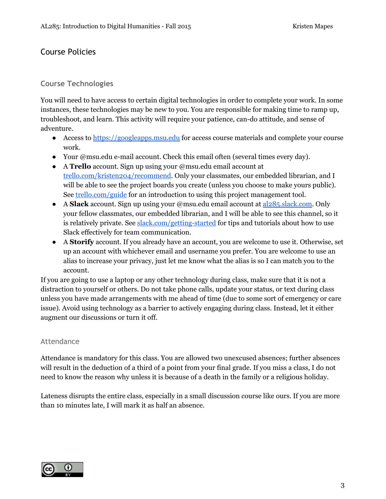## Course Policies

#### **Course Technologies**

You will need to have access to certain digital technologies in order to complete your work. In some instances, these technologies may be new to you. You are responsible for making time to ramp up, troubleshoot, and learn. This activity will require your patience, can-do attitude, and sense of adventure.

- Access to [https://googleapps.msu.edu](https://googleapps.msu.edu/) for access course materials and complete your course work.
- Your @msu.edu e-mail account. Check this email often (several times every day).
- A **Trello**account. Sign up using your @msu.edu email account at [trello.com/kristen204/recommend.](https://trello.com/kristen204/recommend) Only your classmates, our embedded librarian, and I will be able to see the project boards you create (unless you choose to make yours public). See [trello.com/guide](https://trello.com/guide) for an introduction to using this project management tool.
- A **Slack**account. Sign up using your @msu.edu email account at [al285.slack.com.](http://al285.slack.com/) Only your fellow classmates, our embedded librarian, and I will be able to see this channel, so it is relatively private. See [slack.com/getting-started](http://slack.com/getting-started) for tips and tutorials about how to use Slack effectively for team communication.
- A **Storify**account. If you already have an account, you are welcome to use it. Otherwise, set up an account with whichever email and username you prefer. You are welcome to use an alias to increase your privacy, just let me know what the alias is so I can match you to the account.

If you are going to use a laptop or any other technology during class, make sure that it is not a distraction to yourself or others. Do not take phone calls, update your status, or text during class unless you have made arrangements with me ahead of time (due to some sort of emergency or care issue). Avoid using technology as a barrier to actively engaging during class. Instead, let it either augment our discussions or turn it off.

#### Attendance

Attendance is mandatory for this class. You are allowed two unexcused absences; further absences will result in the deduction of a third of a point from your final grade. If you miss a class, I do not need to know the reason why unless it is because of a death in the family or a religious holiday.

Lateness disrupts the entire class, especially in a small discussion course like ours. If you are more than 10 minutes late, I will mark it as half an absence.

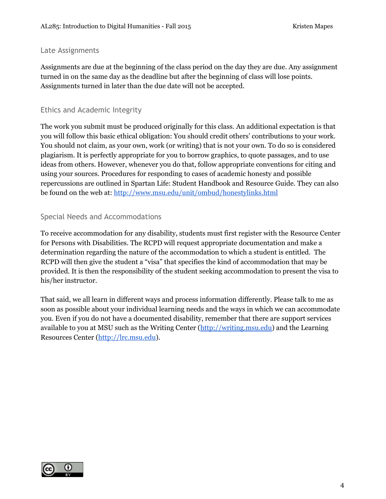#### Late Assignments

Assignments are due at the beginning of the class period on the day they are due. Any assignment turned in on the same day as the deadline but after the beginning of class will lose points. Assignments turned in later than the due date will not be accepted.

#### Ethics and Academic Integrity

The work you submit must be produced originally for this class. An additional expectation is that you will follow this basic ethical obligation: You should credit others' contributions to your work. You should not claim, as your own, work (or writing) that is not your own. To do so is considered plagiarism. It is perfectly appropriate for you to borrow graphics, to quote passages, and to use ideas from others. However, whenever you do that, follow appropriate conventions for citing and using your sources. Procedures for responding to cases of academic honesty and possible repercussions are outlined in Spartan Life: Student Handbook and Resource Guide. They can also be found on the web at: <http://www.msu.edu/unit/ombud/honestylinks.html>

### Special Needs and Accommodations

To receive accommodation for any disability, students must first register with the Resource Center for Persons with Disabilities. The RCPD will request appropriate documentation and make a determination regarding the nature of the accommodation to which a student is entitled. The RCPD will then give the student a "visa" that specifies the kind of accommodation that may be provided. It is then the responsibility of the student seeking accommodation to present the visa to his/her instructor.

That said, we all learn in different ways and process information differently. Please talk to me as soon as possible about your individual learning needs and the ways in which we can accommodate you. Even if you do not have a documented disability, remember that there are support services available to you at MSU such as the Writing Center [\(http://writing.msu.edu\)](http://writing.msu.edu/) and the Learning Resources Center [\(http://lrc.msu.edu\)](http://lrc.msu.edu/).

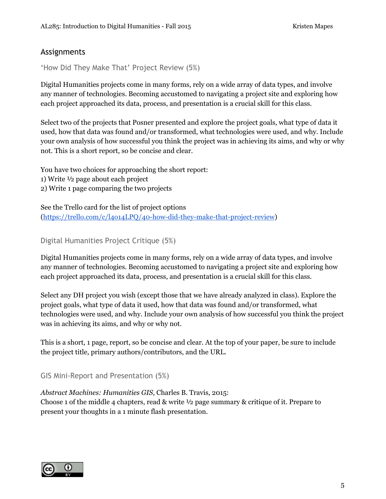## Assignments

'How Did They Make That' Project Review (5%)

Digital Humanities projects come in many forms, rely on a wide array of data types, and involve any manner of technologies. Becoming accustomed to navigating a project site and exploring how each project approached its data, process, and presentation is a crucial skill for this class.

Select two of the projects that Posner presented and explore the project goals, what type of data it used, how that data was found and/or transformed, what technologies were used, and why. Include your own analysis of how successful you think the project was in achieving its aims, and why or why not. This is a short report, so be concise and clear.

You have two choices for approaching the short report:

- 1) Write ½ page about each project
- 2) Write 1 page comparing the two projects

See the Trello card for the list of project options [\(https://trello.com/c/l4o14LPQ/40-how-did-they-make-that-project-review\)](https://trello.com/c/l4o14LPQ/40-how-did-they-make-that-project-review)

Digital Humanities Project Critique (5%)

Digital Humanities projects come in many forms, rely on a wide array of data types, and involve any manner of technologies. Becoming accustomed to navigating a project site and exploring how each project approached its data, process, and presentation is a crucial skill for this class.

Select any DH project you wish (except those that we have already analyzed in class). Explore the project goals, what type of data it used, how that data was found and/or transformed, what technologies were used, and why. Include your own analysis of how successful you think the project was in achieving its aims, and why or why not.

This is a short, 1 page, report, so be concise and clear. At the top of your paper, be sure to include the project title, primary authors/contributors, and the URL.

GIS Mini-Report and Presentation (5%)

*Abstract Machines: Humanities GIS*, Charles B. Travis, 2015: Choose 1 of the middle 4 chapters, read & write ½ page summary & critique of it. Prepare to present your thoughts in a 1 minute flash presentation.

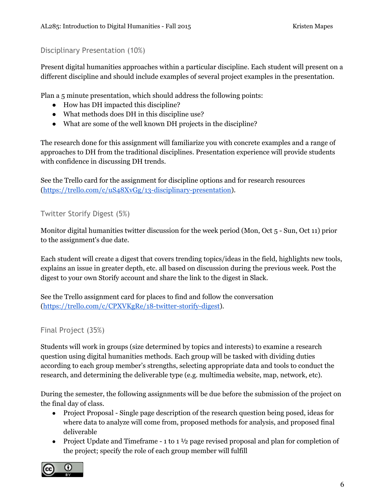Disciplinary Presentation (10%)

Present digital humanities approaches within a particular discipline. Each student will present on a different discipline and should include examples of several project examples in the presentation.

Plan a 5 minute presentation, which should address the following points:

- How has DH impacted this discipline?
- What methods does DH in this discipline use?
- What are some of the well known DH projects in the discipline?

The research done for this assignment will familiarize you with concrete examples and a range of approaches to DH from the traditional disciplines. Presentation experience will provide students with confidence in discussing DH trends.

See the Trello card for the assignment for discipline options and for research resources [\(https://trello.com/c/uS48XvGg/13-disciplinary-presentation\)](https://trello.com/c/uS48XvGg/13-disciplinary-presentation).

Twitter Storify Digest (5%)

Monitor digital humanities twitter discussion for the week period (Mon, Oct 5 - Sun, Oct 11) prior to the assignment's due date.

Each student will create a digest that covers trending topics/ideas in the field, highlights new tools, explains an issue in greater depth, etc. all based on discussion during the previous week. Post the digest to your own Storify account and share the link to the digest in Slack.

See the Trello assignment card for places to find and follow the conversation [\(https://trello.com/c/CPXVKgRe/18-twitter-storify-digest\)](https://trello.com/c/CPXVKgRe/18-twitter-storify-digest).

Final Project (35%)

Students will work in groups (size determined by topics and interests) to examine a research question using digital humanities methods. Each group will be tasked with dividing duties according to each group member's strengths, selecting appropriate data and tools to conduct the research, and determining the deliverable type (e.g. multimedia website, map, network, etc).

During the semester, the following assignments will be due before the submission of the project on the final day of class.

- Project Proposal Single page description of the research question being posed, ideas for where data to analyze will come from, proposed methods for analysis, and proposed final deliverable
- Project Update and Timeframe  $-1$  to  $1\frac{1}{2}$  page revised proposal and plan for completion of the project; specify the role of each group member will fulfill

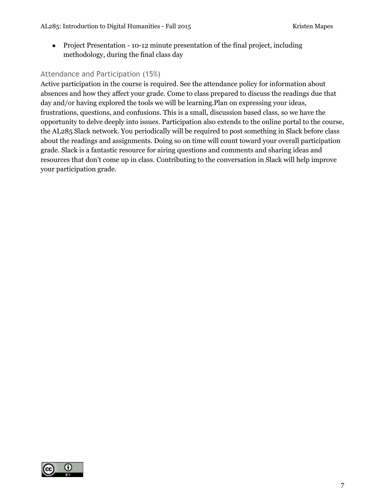● Project Presentation - 10-12 minute presentation of the final project, including methodology, during the final class day

### Attendance and Participation (15%)

Active participation in the course is required. See the attendance policy for information about absences and how they affect your grade. Come to class prepared to discuss the readings due that day and/or having explored the tools we will be learning.Plan on expressing your ideas, frustrations, questions, and confusions. This is a small, discussion based class, so we have the opportunity to delve deeply into issues. Participation also extends to the online portal to the course, the AL285 Slack network. You periodically will be required to post something in Slack before class about the readings and assignments. Doing so on time will count toward your overall participation grade. Slack is a fantastic resource for airing questions and comments and sharing ideas and resources that don't come up in class. Contributing to the conversation in Slack will help improve your participation grade.

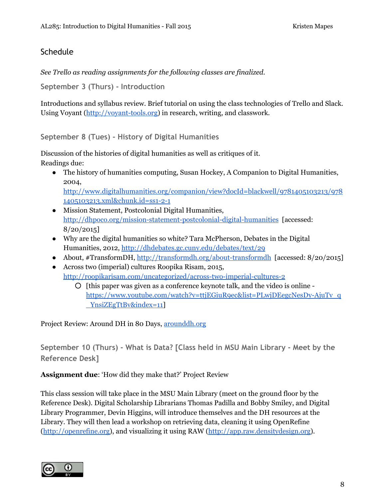## **Schedule**

*See Trello as reading assignments for the following classes are finalized.*

**September 3 (Thurs) - Introduction**

Introductions and syllabus review. Brief tutorial on using the class technologies of Trello and Slack. Using Voyant [\(http://voyant-tools.org](http://voyant-tools.org/)) in research, writing, and classwork.

**September 8 (Tues) - History of Digital Humanities**

Discussion of the histories of digital humanities as well as critiques of it. Readings due:

• The history of humanities computing, Susan Hockey, A Companion to Digital Humanities, 2004, [http://www.digitalhumanities.org/companion/view?docId=blackwell/9781405103213/978](http://www.digitalhumanities.org/companion/view?docId=blackwell/9781405103213/9781405103213.xml&chunk.id=ss1-2-1)

[1405103213.xml&chunk.id=ss1-2-1](http://www.digitalhumanities.org/companion/view?docId=blackwell/9781405103213/9781405103213.xml&chunk.id=ss1-2-1) ● Mission Statement, Postcolonial Digital Humanities,

- <http://dhpoco.org/mission-statement-postcolonial-digital-humanities> [accessed: 8/20/2015]
- Why are the digital humanities so white? Tara McPherson, Debates in the Digital Humanities, 2012, <http://dhdebates.gc.cuny.edu/debates/text/29>
- About, #TransformDH, <http://transformdh.org/about-transformdh> [accessed: 8/20/2015]
- Across two (imperial) cultures Roopika Risam, 2015, <http://roopikarisam.com/uncategorized/across-two-imperial-cultures-2>
	- [this paper was given as a conference keynote talk, and the video is online [https://www.youtube.com/watch?v=ttjEGiuR9ec&list=PLwjDEegcNesDy-AjuTv\\_q](https://www.youtube.com/watch?v=ttjEGiuR9ec&list=PLwjDEegcNesDy-AjuTv_q_YnsiZEgTtBv&index=11) [\\_YnsiZEgTtBv&index=11\]](https://www.youtube.com/watch?v=ttjEGiuR9ec&list=PLwjDEegcNesDy-AjuTv_q_YnsiZEgTtBv&index=11)

Project Review: Around DH in 80 Days, [arounddh.org](http://www.arounddh.org/)

**September 10 (Thurs) - What is Data? [Class held in MSU Main Library - Meet by the Reference Desk]**

**Assignment due**: 'How did they make that?' Project Review

This class session will take place in the MSU Main Library (meet on the ground floor by the Reference Desk). Digital Scholarship Librarians Thomas Padilla and Bobby Smiley, and Digital Library Programmer, Devin Higgins, will introduce themselves and the DH resources at the Library. They will then lead a workshop on retrieving data, cleaning it using OpenRefine [\(http://openrefine.org\)](http://openrefine.org/), and visualizing it using RAW [\(http://app.raw.densitydesign.org\)](http://app.raw.densitydesign.org/).

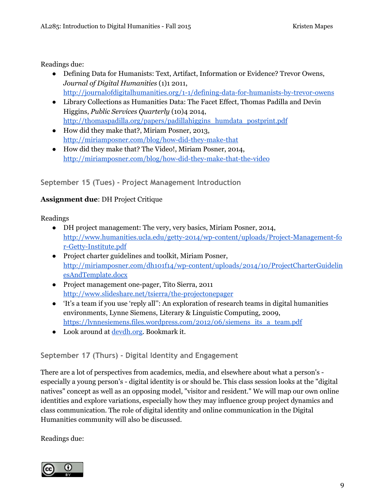#### Readings due:

- Defining Data for Humanists: Text, Artifact, Information or Evidence? Trevor Owens, *Journal of Digital Humanities* (1)1 2011, <http://journalofdigitalhumanities.org/1-1/defining-data-for-humanists-by-trevor-owens>
- Library Collections as Humanities Data: The Facet Effect, Thomas Padilla and Devin Higgins, *Public Services Quarterly* (10)4 2014, [http://thomaspadilla.org/papers/padillahiggins\\_humdata\\_postprint.pdf](http://thomaspadilla.org/papers/padillahiggins_humdata_postprint.pdf)
- How did they make that?, Miriam Posner, 2013, <http://miriamposner.com/blog/how-did-they-make-that>
- How did they make that? The Video!, Miriam Posner, 2014, <http://miriamposner.com/blog/how-did-they-make-that-the-video>

### **September 15 (Tues) - Project Management Introduction**

### **Assignment due**: DH Project Critique

Readings

- DH project management: The very, very basics, Miriam Posner, 2014, [http://www.humanities.ucla.edu/getty-2014/wp-content/uploads/Project-Management-fo](http://www.humanities.ucla.edu/getty-2014/wp-content/uploads/Project-Management-for-Getty-Institute.pdf) [r-Getty-Institute.pdf](http://www.humanities.ucla.edu/getty-2014/wp-content/uploads/Project-Management-for-Getty-Institute.pdf)
- Project charter guidelines and toolkit, Miriam Posner, [http://miriamposner.com/dh101f14/wp-content/uploads/2014/10/ProjectCharterGuidelin](http://miriamposner.com/dh101f14/wp-content/uploads/2014/10/ProjectCharterGuidelinesAndTemplate.docx) [esAndTemplate.docx](http://miriamposner.com/dh101f14/wp-content/uploads/2014/10/ProjectCharterGuidelinesAndTemplate.docx)
- Project management one-pager, Tito Sierra, 2011 <http://www.slideshare.net/tsierra/the-projectonepager>
- 'It's a team if you use 'reply all'': An exploration of research teams in digital humanities environments, Lynne Siemens, Literary & Linguistic Computing, 2009, [https://lynnesiemens.files.wordpress.com/2012/06/siemens\\_its\\_a\\_team.pdf](https://lynnesiemens.files.wordpress.com/2012/06/siemens_its_a_team.pdf)
- Look around at <u>[devdh.org](http://devdh.org/)</u>. Bookmark it.

## **September 17 (Thurs) - Digital Identity and Engagement**

There are a lot of perspectives from academics, media, and elsewhere about what a person's especially a young person's - digital identity is or should be. This class session looks at the "digital natives" concept as well as an opposing model, "visitor and resident." We will map our own online identities and explore variations, especially how they may influence group project dynamics and class communication. The role of digital identity and online communication in the Digital Humanities community will also be discussed.

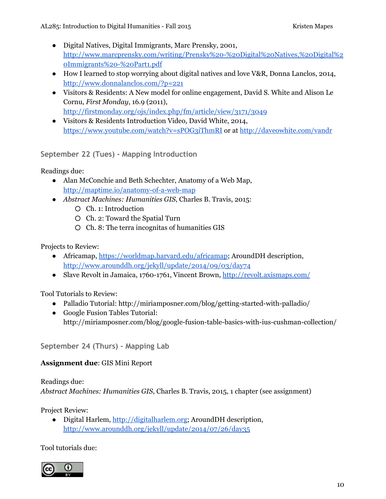- Digital Natives, Digital Immigrants, Marc Prensky, 2001, [http://www.marcprensky.com/writing/Prensky%20-%20Digital%20Natives,%20Digital%2](http://www.marcprensky.com/writing/Prensky%20-%20Digital%20Natives,%20Digital%20Immigrants%20-%20Part1.pdf) [0Immigrants%20-%20Part1.pdf](http://www.marcprensky.com/writing/Prensky%20-%20Digital%20Natives,%20Digital%20Immigrants%20-%20Part1.pdf)
- How I learned to stop worrying about digital natives and love V&R, Donna Lanclos, 2014, <http://www.donnalanclos.com/?p=221>
- Visitors & Residents: A New model for online engagement, David S. White and Alison Le Cornu, *First Monday*, 16.9 (2011), <http://firstmonday.org/ojs/index.php/fm/article/view/3171/3049>
- Visitors & Residents Introduction Video, David White, 2014, <https://www.youtube.com/watch?v=sPOG3iThmRI> or at [http://daveowhite.com/vandr](http://daveowhite.com/vandr/)

**September 22 (Tues) - Mapping Introduction**

Readings due:

- Alan McConchie and Beth Schechter, Anatomy of a Web Map, <http://maptime.io/anatomy-of-a-web-map>
- *Abstract Machines: Humanities GIS*, Charles B. Travis, 2015:
	- Ch. 1: Introduction
	- Ch. 2: Toward the Spatial Turn
	- Ch. 8: The terra incognitas of humanities GIS

Projects to Review:

- Africamap, [https://worldmap.harvard.edu/africamap;](https://worldmap.harvard.edu/africamap/) AroundDH description, [http://www.arounddh.org/jekyll/update/2014/09/03/day74](http://www.arounddh.org/jekyll/update/2014/09/03/day74/)
- Slave Revolt in Jamaica, 1760-1761, Vincent Brown, <http://revolt.axismaps.com/>

Tool Tutorials to Review:

- Palladio Tutorial: http://miriamposner.com/blog/getting-started-with-palladio/
- Google Fusion Tables Tutorial: http://miriamposner.com/blog/google-fusion-table-basics-with-ius-cushman-collection/

**September 24 (Thurs) - Mapping Lab**

## **Assignment due**: GIS Mini Report

Readings due: *Abstract Machines: Humanities GIS*, Charles B. Travis, 2015, 1 chapter (see assignment)

Project Review:

● Digital Harlem, [http://digitalharlem.org;](http://digitalharlem.org/) AroundDH description, [http://www.arounddh.org/jekyll/update/2014/07/26/day35](http://www.arounddh.org/jekyll/update/2014/07/26/day35/)

Tool tutorials due:

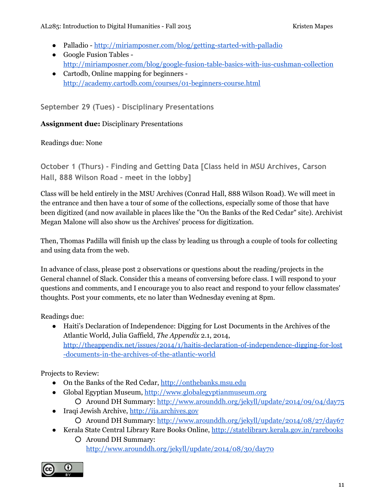- Palladio [http://miriamposner.com/blog/getting-started-with-palladio](http://miriamposner.com/blog/getting-started-with-palladio/)
- Google Fusion Tables <http://miriamposner.com/blog/google-fusion-table-basics-with-ius-cushman-collection>
- Cartodb, Online mapping for beginners <http://academy.cartodb.com/courses/01-beginners-course.html>

**September 29 (Tues) - Disciplinary Presentations**

#### **Assignment due:**Disciplinary Presentations

Readings due: None

**October 1 (Thurs) - Finding and Getting Data [Class held in MSU Archives, Carson Hall, 888 Wilson Road - meet in the lobby]**

Class will be held entirely in the MSU Archives (Conrad Hall, 888 Wilson Road). We will meet in the entrance and then have a tour of some of the collections, especially some of those that have been digitized (and now available in places like the "On the Banks of the Red Cedar" site). Archivist Megan Malone will also show us the Archives' process for digitization.

Then, Thomas Padilla will finish up the class by leading us through a couple of tools for collecting and using data from the web.

In advance of class, please post 2 observations or questions about the reading/projects in the General channel of Slack. Consider this a means of conversing before class. I will respond to your questions and comments, and I encourage you to also react and respond to your fellow classmates' thoughts. Post your comments, etc no later than Wednesday evening at 8pm.

Readings due:

● Haiti's Declaration of Independence: Digging for Lost Documents in the Archives of the Atlantic World, Julia Gaffield, *The Appendix* 2.1, 2014, [http://theappendix.net/issues/2014/1/haitis-declaration-of-independence-digging-for-lost](http://theappendix.net/issues/2014/1/haitis-declaration-of-independence-digging-for-lost-documents-in-the-archives-of-the-atlantic-world) [-documents-in-the-archives-of-the-atlantic-world](http://theappendix.net/issues/2014/1/haitis-declaration-of-independence-digging-for-lost-documents-in-the-archives-of-the-atlantic-world)

Projects to Review:

- On the Banks of the Red Cedar, [http://onthebanks.msu.edu](http://onthebanks.msu.edu/)
- Global Egyptian Museum, [http://www.globalegyptianmuseum.org](http://www.globalegyptianmuseum.org/)
	- Around DH Summary: [http://www.arounddh.org/jekyll/update/2014/09/04/day75](http://www.arounddh.org/jekyll/update/2014/09/04/day75/)
- Iraqi Jewish Archive, [http://ija.archives.gov](http://ija.archives.gov/)
	- Around DH Summary: [http://www.arounddh.org/jekyll/update/2014/08/27/day67](http://www.arounddh.org/jekyll/update/2014/08/27/day67/)
- Kerala State Central Library Rare Books Online, [http://statelibrary.kerala.gov.in/rarebooks](http://statelibrary.kerala.gov.in/rarebooks/)
	- Around DH Summary: [http://www.arounddh.org/jekyll/update/2014/08/30/day70](http://www.arounddh.org/jekyll/update/2014/08/30/day70/)

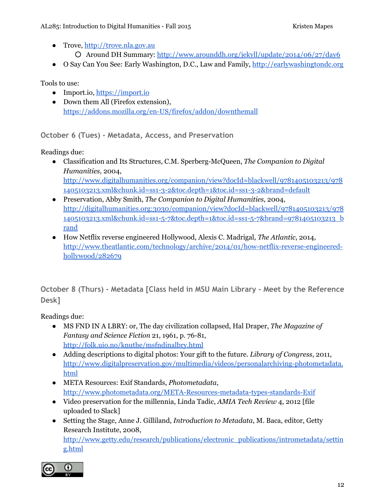- Trove, [http://trove.nla.gov.au](http://trove.nla.gov.au/)
	- Around DH Summary: [http://www.arounddh.org/jekyll/update/2014/06/27/day6](http://www.arounddh.org/jekyll/update/2014/06/27/day6/)
- O Say Can You See: Early Washington, D.C., Law and Family, [http://earlywashingtondc.org](http://earlywashingtondc.org/)

Tools to use:

- Import.io, [https://import.io](https://import.io/)
- Down them All (Firefox extension), <https://addons.mozilla.org/en-US/firefox/addon/downthemall>

**October 6 (Tues) - Metadata, Access, and Preservation**

Readings due:

- Classification and Its Structures, C.M. Sperberg-McQueen, *The Companion to Digital Humanities*, 2004, [http://www.digitalhumanities.org/companion/view?docId=blackwell/9781405103213/978](http://www.digitalhumanities.org/companion/view?docId=blackwell/9781405103213/9781405103213.xml&chunk.id=ss1-3-2&toc.depth=1&toc.id=ss1-3-2&brand=default) [1405103213.xml&chunk.id=ss1-3-2&toc.depth=1&toc.id=ss1-3-2&brand=default](http://www.digitalhumanities.org/companion/view?docId=blackwell/9781405103213/9781405103213.xml&chunk.id=ss1-3-2&toc.depth=1&toc.id=ss1-3-2&brand=default)
- Preservation, Abby Smith, *The Companion to Digital Humanities*, 2004, [http://digitalhumanities.org:3030/companion/view?docId=blackwell/9781405103213/978](http://digitalhumanities.org:3030/companion/view?docId=blackwell/9781405103213/9781405103213.xml&chunk.id=ss1-5-7&toc.depth=1&toc.id=ss1-5-7&brand=9781405103213_brand) [1405103213.xml&chunk.id=ss1-5-7&toc.depth=1&toc.id=ss1-5-7&brand=9781405103213\\_b](http://digitalhumanities.org:3030/companion/view?docId=blackwell/9781405103213/9781405103213.xml&chunk.id=ss1-5-7&toc.depth=1&toc.id=ss1-5-7&brand=9781405103213_brand) [rand](http://digitalhumanities.org:3030/companion/view?docId=blackwell/9781405103213/9781405103213.xml&chunk.id=ss1-5-7&toc.depth=1&toc.id=ss1-5-7&brand=9781405103213_brand)
- How Netflix reverse engineered Hollywood, Alexis C. Madrigal, *The Atlantic*, 2014, [http://www.theatlantic.com/technology/archive/2014/01/how-netflix-reverse-engineered](http://www.theatlantic.com/technology/archive/2014/01/how-netflix-reverse-engineered-hollywood/282679/)[hollywood/282679](http://www.theatlantic.com/technology/archive/2014/01/how-netflix-reverse-engineered-hollywood/282679/)

**October 8 (Thurs) - Metadata [Class held in MSU Main Library - Meet by the Reference Desk]**

- MS FND IN A LBRY: or, The day civilization collapsed, Hal Draper, *The Magazine of Fantasy and Science Fiction* 21, 1961, p. 76-81, <http://folk.uio.no/knuthe/msfndinalbry.html>
- Adding descriptions to digital photos: Your gift to the future. *Library of Congress*, 2011, [http://www.digitalpreservation.gov/multimedia/videos/personalarchiving-photometadata.](http://www.digitalpreservation.gov/multimedia/videos/personalarchiving-photometadata.html) [html](http://www.digitalpreservation.gov/multimedia/videos/personalarchiving-photometadata.html)
- META Resources: Exif Standards, *Photometadata*, <http://www.photometadata.org/META-Resources-metadata-types-standards-Exif>
- Video preservation for the millennia, Linda Tadic, *AMIA Tech Review* 4, 2012 [file uploaded to Slack]
- Setting the Stage, Anne J. Gilliland, *Introduction to Metadata*, M. Baca, editor, Getty Research Institute, 2008, [http://www.getty.edu/research/publications/electronic\\_publications/intrometadata/settin](http://www.getty.edu/research/publications/electronic_publications/intrometadata/setting.html) [g.html](http://www.getty.edu/research/publications/electronic_publications/intrometadata/setting.html)

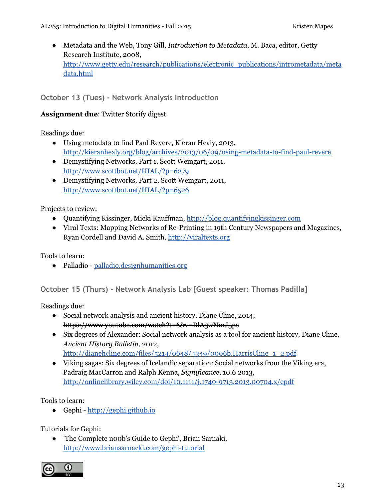● Metadata and the Web, Tony Gill, *Introduction to Metadata*, M. Baca, editor, Getty Research Institute, 2008, [http://www.getty.edu/research/publications/electronic\\_publications/intrometadata/meta](http://www.getty.edu/research/publications/electronic_publications/intrometadata/metadata.html) [data.html](http://www.getty.edu/research/publications/electronic_publications/intrometadata/metadata.html)

### **October 13 (Tues) - Network Analysis Introduction**

#### **Assignment due**: Twitter Storify digest

Readings due:

- Using metadata to find Paul Revere, Kieran Healy, 2013, [http://kieranhealy.org/blog/archives/2013/06/09/using-metadata-to-find-paul-revere](http://kieranhealy.org/blog/archives/2013/06/09/using-metadata-to-find-paul-revere/)
- Demystifying Networks, Part 1, Scott Weingart, 2011, <http://www.scottbot.net/HIAL/?p=6279>
- Demystifying Networks, Part 2, Scott Weingart, 2011, <http://www.scottbot.net/HIAL/?p=6526>

Projects to review:

- Quantifying Kissinger, Micki Kauffman, [http://blog.quantifyingkissinger.com](http://blog.quantifyingkissinger.com/)
- Viral Texts: Mapping Networks of Re-Printing in 19th Century Newspapers and Magazines, Ryan Cordell and David A. Smith, [http://viraltexts.org](http://viraltexts.org/)

Tools to learn:

● Palladio - [palladio.designhumanities.org](http://palladio.designhumanities.org/)

**October 15 (Thurs) - Network Analysis Lab [Guest speaker: Thomas Padilla]**

Readings due:

- Social network analysis and ancient history, Diane Cline, 2014, https://www.youtube.com/watch?t=6&v=RlA3wNmJ5ps
- Six degrees of Alexander: Social network analysis as a tool for ancient history, Diane Cline, *Ancient History Bulletin*, 2012,
	- [http://dianehcline.com/files/5214/0648/4349/0006b.HarrisCline\\_1\\_2.pdf](http://dianehcline.com/files/5214/0648/4349/0006b.HarrisCline_1_2.pdf)
- Viking sagas: Six degrees of Icelandic separation: Social networks from the Viking era, Padraig MacCarron and Ralph Kenna, *Significance*, 10.6 2013, <http://onlinelibrary.wiley.com/doi/10.1111/j.1740-9713.2013.00704.x/epdf>

Tools to learn:

● Gephi - [http://gephi.github.io](http://gephi.github.io/)

Tutorials for Gephi:

● 'The Complete n00b's Guide to Gephi', Brian Sarnaki, <http://www.briansarnacki.com/gephi-tutorial>

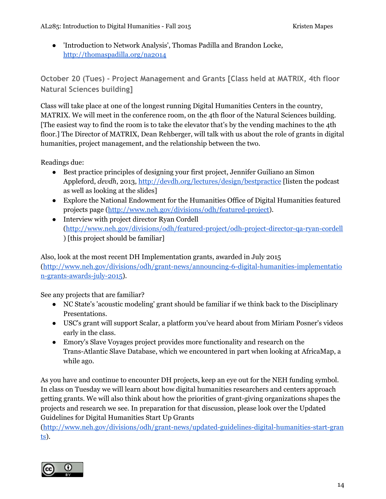● 'Introduction to Network Analysis', Thomas Padilla and Brandon Locke, <http://thomaspadilla.org/na2014>

**October 20 (Tues) - Project Management and Grants [Class held at MATRIX, 4th floor Natural Sciences building]**

Class will take place at one of the longest running Digital Humanities Centers in the country, MATRIX. We will meet in the conference room, on the 4th floor of the Natural Sciences building. [The easiest way to find the room is to take the elevator that's by the vending machines to the 4th floor.] The Director of MATRIX, Dean Rehberger, will talk with us about the role of grants in digital humanities, project management, and the relationship between the two.

Readings due:

- Best practice principles of designing your first project, Jennifer Guiliano an Simon Appleford, *devdh*, 2013, <http://devdh.org/lectures/design/bestpractice> [listen the podcast as well as looking at the slides]
- Explore the National Endowment for the Humanities Office of Digital Humanities featured projects page [\(http://www.neh.gov/divisions/odh/featured-project\)](http://www.neh.gov/divisions/odh/featured-project).
- Interview with project director Ryan Cordell [\(http://www.neh.gov/divisions/odh/featured-project/odh-project-director-qa-ryan-cordell](http://www.neh.gov/divisions/odh/featured-project/odh-project-director-qa-ryan-cordell) ) [this project should be familiar]

Also, look at the most recent DH Implementation grants, awarded in July 2015 [\(http://www.neh.gov/divisions/odh/grant-news/announcing-6-digital-humanities-implementatio](http://www.neh.gov/divisions/odh/grant-news/announcing-6-digital-humanities-implementation-grants-awards-july-2015) [n-grants-awards-july-2015\)](http://www.neh.gov/divisions/odh/grant-news/announcing-6-digital-humanities-implementation-grants-awards-july-2015).

See any projects that are familiar?

- NC State's 'acoustic modeling' grant should be familiar if we think back to the Disciplinary Presentations.
- USC's grant will support Scalar, a platform you've heard about from Miriam Posner's videos early in the class.
- Emory's Slave Voyages project provides more functionality and research on the Trans-Atlantic Slave Database, which we encountered in part when looking at AfricaMap, a while ago.

As you have and continue to encounter DH projects, keep an eye out for the NEH funding symbol. In class on Tuesday we will learn about how digital humanities researchers and centers approach getting grants. We will also think about how the priorities of grant-giving organizations shapes the projects and research we see. In preparation for that discussion, please look over the Updated Guidelines for Digital Humanities Start Up Grants

[\(http://www.neh.gov/divisions/odh/grant-news/updated-guidelines-digital-humanities-start-gran](http://www.neh.gov/divisions/odh/grant-news/updated-guidelines-digital-humanities-start-grants)  $ts$ .</u>

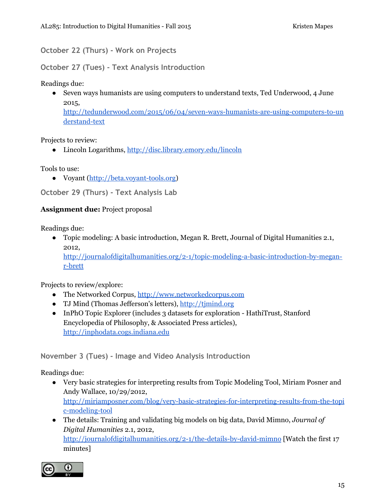**October 22 (Thurs) - Work on Projects**

**October 27 (Tues) - Text Analysis Introduction**

Readings due:

• Seven ways humanists are using computers to understand texts, Ted Underwood, 4 June 2015, [http://tedunderwood.com/2015/06/04/seven-ways-humanists-are-using-computers-to-un](http://tedunderwood.com/2015/06/04/seven-ways-humanists-are-using-computers-to-understand-text/) [derstand-text](http://tedunderwood.com/2015/06/04/seven-ways-humanists-are-using-computers-to-understand-text/)

Projects to review:

● Lincoln Logarithms, [http://disc.library.emory.edu/lincoln](http://disc.library.emory.edu/lincoln/)

Tools to use:

● Voyant ([http://beta.voyant-tools.org\)](http://beta.voyant-tools.org/)

**October 29 (Thurs) - Text Analysis Lab**

#### **Assignment due:** Project proposal

Readings due:

● Topic modeling: A basic introduction, Megan R. Brett, Journal of Digital Humanities 2.1, 2012, [http://journalofdigitalhumanities.org/2-1/topic-modeling-a-basic-introduction-by-megan](http://journalofdigitalhumanities.org/2-1/topic-modeling-a-basic-introduction-by-megan-r-brett)[r-brett](http://journalofdigitalhumanities.org/2-1/topic-modeling-a-basic-introduction-by-megan-r-brett)

Projects to review/explore:

- The Networked Corpus, [http://www.networkedcorpus.com](http://www.networkedcorpus.com/)
- TJ Mind (Thomas Jefferson's letters), [http://tjmind.org](http://tjmind.org/)
- InPhO Topic Explorer (includes 3 datasets for exploration HathiTrust, Stanford Encyclopedia of Philosophy, & Associated Press articles), [http://inphodata.cogs.indiana.edu](http://inphodata.cogs.indiana.edu/)

**November 3 (Tues) - Image and Video Analysis Introduction**

- Very basic strategies for interpreting results from Topic Modeling Tool, Miriam Posner and Andy Wallace, 10/29/2012, [http://miriamposner.com/blog/very-basic-strategies-for-interpreting-results-from-the-topi](http://miriamposner.com/blog/very-basic-strategies-for-interpreting-results-from-the-topic-modeling-tool) [c-modeling-tool](http://miriamposner.com/blog/very-basic-strategies-for-interpreting-results-from-the-topic-modeling-tool)
- The details: Training and validating big models on big data, David Mimno, *Journal of Digital Humanities* 2.1, 2012, <http://journalofdigitalhumanities.org/2-1/the-details-by-david-mimno> [Watch the first 17 minutes]

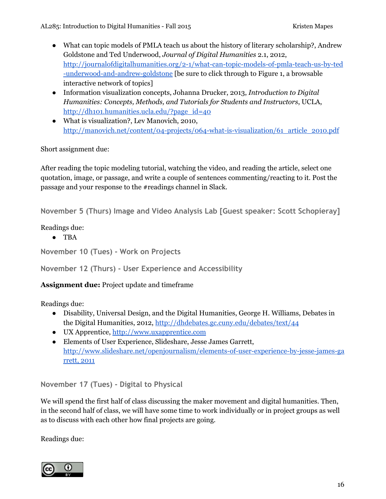- What can topic models of PMLA teach us about the history of literary scholarship?, Andrew Goldstone and Ted Underwood, *Journal of Digital Humanities* 2.1, 2012, [http://journalofdigitalhumanities.org/2-1/what-can-topic-models-of-pmla-teach-us-by-ted](http://journalofdigitalhumanities.org/2-1/what-can-topic-models-of-pmla-teach-us-by-ted-underwood-and-andrew-goldstone) [-underwood-and-andrew-goldstone](http://journalofdigitalhumanities.org/2-1/what-can-topic-models-of-pmla-teach-us-by-ted-underwood-and-andrew-goldstone) [be sure to click through to Figure 1, a browsable interactive network of topics]
- Information visualization concepts, Johanna Drucker, 2013, *Introduction to Digital Humanities: Concepts, Methods, and Tutorials for Students and Instructors*, UCLA, [http://dh101.humanities.ucla.edu/?page\\_id=40](http://dh101.humanities.ucla.edu/?page_id=40)
- What is visualization?, Lev Manovich, 2010, [http://manovich.net/content/04-projects/064-what-is-visualization/61\\_article\\_2010.pdf](http://manovich.net/content/04-projects/064-what-is-visualization/61_article_2010.pdf)

Short assignment due:

After reading the topic modeling tutorial, watching the video, and reading the article, select one quotation, image, or passage, and write a couple of sentences commenting/reacting to it. Post the passage and your response to the #readings channel in Slack.

**November 5 (Thurs) Image and Video Analysis Lab [Guest speaker: Scott Schopieray]**

Readings due:

● TBA

```
November 10 (Tues) - Work on Projects
```
**November 12 (Thurs) - User Experience and Accessibility**

#### **Assignment due:** Project update and timeframe

Readings due:

- Disability, Universal Design, and the Digital Humanities, George H. Williams, Debates in the Digital Humanities, 2012, <http://dhdebates.gc.cuny.edu/debates/text/44>
- UX Apprentice, [http://www.uxapprentice.com](http://www.uxapprentice.com/)
- Elements of User Experience, Slideshare, Jesse James Garrett, [http://www.slideshare.net/openjournalism/elements-of-user-experience-by-jesse-james-ga](http://www.slideshare.net/openjournalism/elements-of-user-experience-by-jesse-james-garrett,) [rrett,](http://www.slideshare.net/openjournalism/elements-of-user-experience-by-jesse-james-garrett,) 2011

**November 17 (Tues) - Digital to Physical**

We will spend the first half of class discussing the maker movement and digital humanities. Then, in the second half of class, we will have some time to work individually or in project groups as well as to discuss with each other how final projects are going.

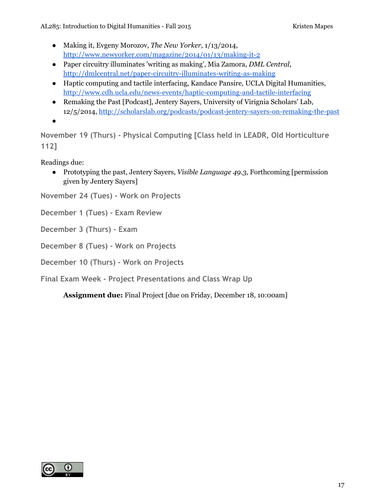AL285: Introduction to Digital Humanities - Fall 2015 **Kristen Mapes** Kristen Mapes

- Making it, Evgeny Morozov, *The New Yorker*, 1/13/2014, <http://www.newyorker.com/magazine/2014/01/13/making-it-2>
- Paper circuitry illuminates 'writing as making', Mia Zamora, *DML Central*, <http://dmlcentral.net/paper-circuitry-illuminates-writing-as-making>
- Haptic computing and tactile interfacing, Kandace Pansire, UCLA Digital Humanities, <http://www.cdh.ucla.edu/news-events/haptic-computing-and-tactile-interfacing>
- Remaking the Past [Podcast], Jentery Sayers, University of Virignia Scholars' Lab, 12/5/2014, <http://scholarslab.org/podcasts/podcast-jentery-sayers-on-remaking-the-past>
- ●

**November 19 (Thurs) - Physical Computing [Class held in LEADR, Old Horticulture 112]**

Readings due:

● Prototyping the past, Jentery Sayers, *Visible Language 49.3*, Forthcoming [permission given by Jentery Sayers]

**November 24 (Tues) - Work on Projects**

**December 1 (Tues) - Exam Review**

**December 3 (Thurs) - Exam**

**December 8 (Tues) - Work on Projects**

**December 10 (Thurs) - Work on Projects**

**Final Exam Week - Project Presentations and Class Wrap Up**

**Assignment due:**Final Project [due on Friday, December 18, 10:00am]